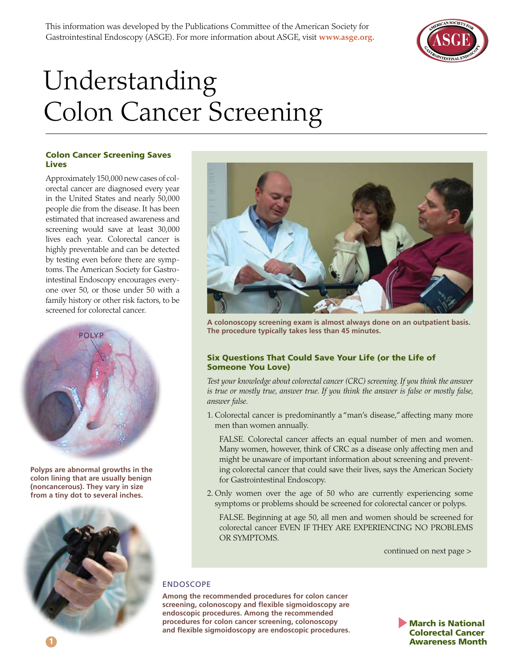

# Understanding Colon Cancer Screening

#### Colon Cancer Screening Saves Lives

Approximately 150,000 new cases of colorectal cancer are diagnosed every year in the United States and nearly 50,000 people die from the disease. It has been estimated that increased awareness and screening would save at least 30,000 lives each year. Colorectal cancer is highly preventable and can be detected by testing even before there are symptoms. The American Society for Gastrointestinal Endoscopy encourages everyone over 50, or those under 50 with a family history or other risk factors, to be screened for colorectal cancer.



**Polyps are abnormal growths in the colon lining that are usually benign (noncancerous). They vary in size from a tiny dot to several inches.** 





**A colonoscopy screening exam is almost always done on an outpatient basis. The procedure typically takes less than 45 minutes.**

## Six Questions That Could Save Your Life (or the Life of Someone You Love)

*Test your knowledge about colorectal cancer (CRC) screening. If you think the answer is true or mostly true, answer true. If you think the answer is false or mostly false, answer false.*

- 1. Colorectal cancer is predominantly a "man's disease," affecting many more men than women annually.
	- FALSE. Colorectal cancer affects an equal number of men and women. Many women, however, think of CRC as a disease only affecting men and might be unaware of important information about screening and preventing colorectal cancer that could save their lives, says the American Society for Gastrointestinal Endoscopy.
- 2. Only women over the age of 50 who are currently experiencing some symptoms or problems should be screened for colorectal cancer or polyps.
	- FALSE. Beginning at age 50, all men and women should be screened for colorectal cancer EVEN IF THEY ARE EXPERIENCING NO PROBLEMS OR SYMPTOMS.
		- continued on next page >

## ENDOSCOPE

**Among the recommended procedures for colon cancer screening, colonoscopy and flexible sigmoidoscopy are endoscopic procedures. Among the recommended procedures for colon cancer screening, colonoscopy and flexible sigmoidoscopy are endoscopic procedures.**

March is National Colorectal Cancer Awareness Month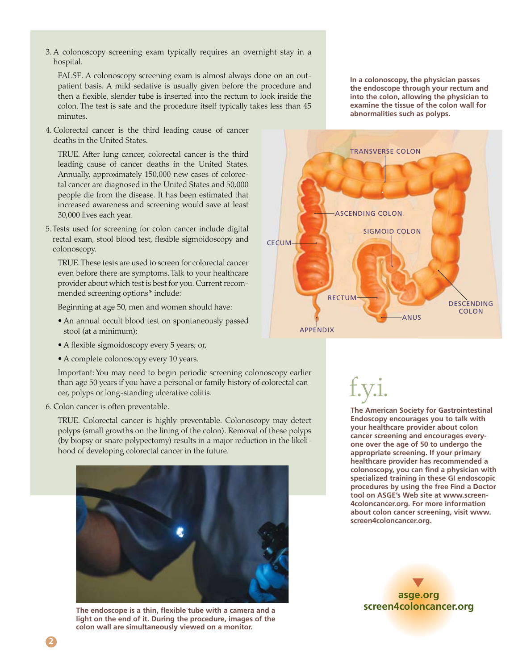3. A colonoscopy screening exam typically requires an overnight stay in a hospital.

FALSE. A colonoscopy screening exam is almost always done on an outpatient basis. A mild sedative is usually given before the procedure and then a flexible, slender tube is inserted into the rectum to look inside the colon. The test is safe and the procedure itself typically takes less than 45 minutes.

4. Colorectal cancer is the third leading cause of cancer deaths in the United States.

TRUE. After lung cancer, colorectal cancer is the third leading cause of cancer deaths in the United States. Annually, approximately 150,000 new cases of colorectal cancer are diagnosed in the United States and 50,000 people die from the disease. It has been estimated that increased awareness and screening would save at least 30,000 lives each year.

5. Tests used for screening for colon cancer include digital rectal exam, stool blood test, flexible sigmoidoscopy and colonoscopy.

TRUE. These tests are used to screen for colorectal cancer even before there are symptoms. Talk to your healthcare provider about which test is best for you. Current recommended screening options\* include:

Beginning at age 50, men and women should have:

- An annual occult blood test on spontaneously passed stool (at a minimum);
- A flexible sigmoidoscopy every 5 years; or,
- A complete colonoscopy every 10 years.

Important: You may need to begin periodic screening colonoscopy earlier than age 50 years if you have a personal or family history of colorectal cancer, polyps or long-standing ulcerative colitis.

6. Colon cancer is often preventable.

TRUE. Colorectal cancer is highly preventable. Colonoscopy may detect polyps (small growths on the lining of the colon). Removal of these polyps (by biopsy or snare polypectomy) results in a major reduction in the likelihood of developing colorectal cancer in the future.



**The endoscope is a thin, flexible tube with a camera and a light on the end of it. During the procedure, images of the colon wall are simultaneously viewed on a monitor.** 

**In a colonoscopy, the physician passes the endoscope through your rectum and into the colon, allowing the physician to examine the tissue of the colon wall for abnormalities such as polyps.**



f.y.i.

**The American Society for Gastrointestinal Endoscopy encourages you to talk with your healthcare provider about colon cancer screening and encourages everyone over the age of 50 to undergo the appropriate screening. If your primary healthcare provider has recommended a colonoscopy, you can find a physician with specialized training in these GI endoscopic procedures by using the free Find a Doctor tool on ASGE's Web site at www.screen-4coloncancer.org. For more information about colon cancer screening, visit www. screen4coloncancer.org.**